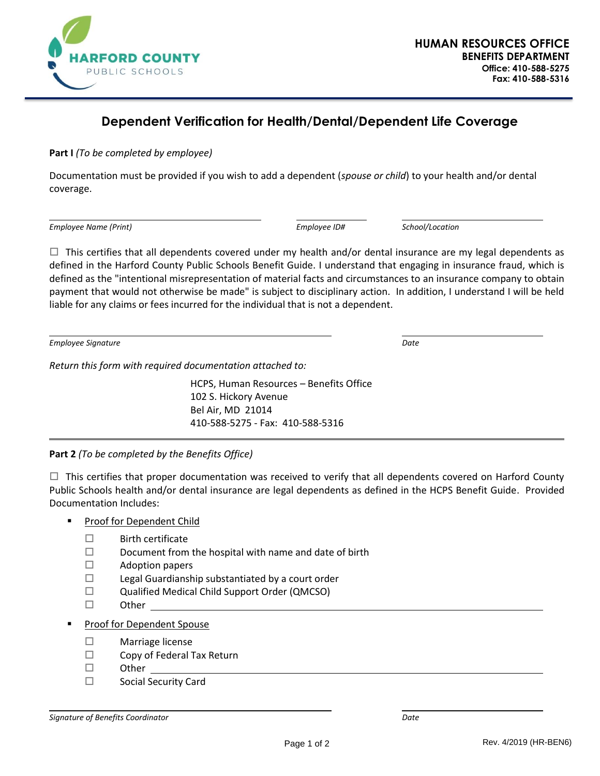

## **Dependent Verification for Health/Dental/Dependent Life Coverage**

**Part I** *(To be completed by employee)*

Documentation must be provided if you wish to add a dependent (*spouse or child*) to your health and/or dental coverage.

*Employee Name (Print) Employee ID# School/Location*

 $\Box$  This certifies that all dependents covered under my health and/or dental insurance are my legal dependents as defined in the Harford County Public Schools Benefit Guide. I understand that engaging in insurance fraud, which is defined as the "intentional misrepresentation of material facts and circumstances to an insurance company to obtain payment that would not otherwise be made" is subject to disciplinary action. In addition, I understand I will be held liable for any claims or fees incurred for the individual that is not a dependent.

*Employee Signature Date*

*Return this form with required documentation attached to:*

HCPS, Human Resources – Benefits Office 102 S. Hickory Avenue Bel Air, MD 21014 410-588-5275 - Fax: 410-588-5316

**Part 2** *(To be completed by the Benefits Office)*

 $\Box$  This certifies that proper documentation was received to verify that all dependents covered on Harford County Public Schools health and/or dental insurance are legal dependents as defined in the HCPS Benefit Guide. Provided Documentation Includes:

- Proof for Dependent Child
	- $\square$  Birth certificate
	- $\square$  Document from the hospital with name and date of birth
	- $\Box$  Adoption papers
	- $\square$  Legal Guardianship substantiated by a court order
	- $\Box$  Qualified Medical Child Support Order (QMCSO)
	- $\square$  Other
- Proof for Dependent Spouse
	- $\Box$  Marriage license
	- $\Box$  Copy of Federal Tax Return
	- □ Other
	- □ Social Security Card